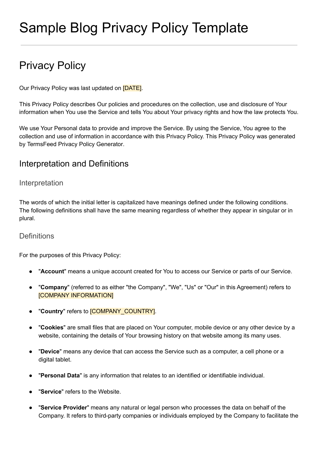# Privacy Policy

Our Privacy Policy was last updated on **[DATE]**.

This Privacy Policy describes Our policies and procedures on the collection, use and disclosure of Your information when You use the Service and tells You about Your privacy rights and how the law protects You.

We use Your Personal data to provide and improve the Service. By using the Service, You agree to the collection and use of information in accordance with this Privacy Policy. This Privacy Policy was generated by [TermsFeed](https://www.termsfeed.com/privacy-policy-generator/) Privacy Policy Generator.

## Interpretation and Definitions

#### Interpretation

The words of which the initial letter is capitalized have meanings defined under the following conditions. The following definitions shall have the same meaning regardless of whether they appear in singular or in plural.

#### **Definitions**

For the purposes of this Privacy Policy:

- "Account" means a unique account created for You to access our Service or parts of our Service.
- "**Company**" (referred to as either "the Company", "We", "Us" or "Our" in this Agreement) refers to [COMPANY INFORMATION]
- "**Country**" refers to [COMPANY\_COUNTRY].
- "**Cookies**" are small files that are placed on Your computer, mobile device or any other device by a website, containing the details of Your browsing history on that website among its many uses.
- "**Device**" means any device that can access the Service such as a computer, a cell phone or a digital tablet.
- **"Personal Data**" is any information that relates to an identified or identifiable individual.
- **"Service"** refers to the Website.
- **"Service Provider"** means any natural or legal person who processes the data on behalf of the Company. It refers to third-party companies or individuals employed by the Company to facilitate the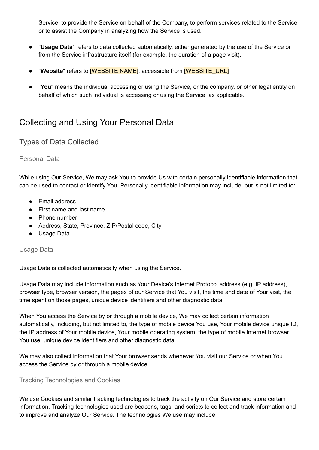Service, to provide the Service on behalf of the Company, to perform services related to the Service or to assist the Company in analyzing how the Service is used.

- "**Usage Data**" refers to data collected automatically, either generated by the use of the Service or from the Service infrastructure itself (for example, the duration of a page visit).
- "**Website**" refers to [WEBSITE NAME], accessible from [WEBSITE\_URL]
- "**You**" means the individual accessing or using the Service, or the company, or other legal entity on behalf of which such individual is accessing or using the Service, as applicable.

## Collecting and Using Your Personal Data

### Types of Data Collected

#### Personal Data

While using Our Service, We may ask You to provide Us with certain personally identifiable information that can be used to contact or identify You. Personally identifiable information may include, but is not limited to:

- Email address
- First name and last name
- Phone number
- Address, State, Province, ZIP/Postal code, City
- Usage Data

#### Usage Data

Usage Data is collected automatically when using the Service.

Usage Data may include information such as Your Device's Internet Protocol address (e.g. IP address), browser type, browser version, the pages of our Service that You visit, the time and date of Your visit, the time spent on those pages, unique device identifiers and other diagnostic data.

When You access the Service by or through a mobile device, We may collect certain information automatically, including, but not limited to, the type of mobile device You use, Your mobile device unique ID, the IP address of Your mobile device, Your mobile operating system, the type of mobile Internet browser You use, unique device identifiers and other diagnostic data.

We may also collect information that Your browser sends whenever You visit our Service or when You access the Service by or through a mobile device.

#### Tracking Technologies and Cookies

We use Cookies and similar tracking technologies to track the activity on Our Service and store certain information. Tracking technologies used are beacons, tags, and scripts to collect and track information and to improve and analyze Our Service. The technologies We use may include: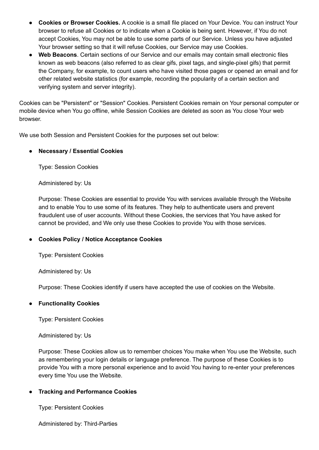- **Cookies or Browser Cookies.** A cookie is a small file placed on Your Device. You can instruct Your browser to refuse all Cookies or to indicate when a Cookie is being sent. However, if You do not accept Cookies, You may not be able to use some parts of our Service. Unless you have adjusted Your browser setting so that it will refuse Cookies, our Service may use Cookies.
- **Web Beacons**. Certain sections of our Service and our emails may contain small electronic files known as web beacons (also referred to as clear gifs, pixel tags, and single-pixel gifs) that permit the Company, for example, to count users who have visited those pages or opened an email and for other related website statistics (for example, recording the popularity of a certain section and verifying system and server integrity).

Cookies can be "Persistent" or "Session" Cookies. Persistent Cookies remain on Your personal computer or mobile device when You go offline, while Session Cookies are deleted as soon as You close Your web browser.

We use both Session and Persistent Cookies for the purposes set out below:

#### **● Necessary / Essential Cookies**

Type: Session Cookies

#### Administered by: Us

Purpose: These Cookies are essential to provide You with services available through the Website and to enable You to use some of its features. They help to authenticate users and prevent fraudulent use of user accounts. Without these Cookies, the services that You have asked for cannot be provided, and We only use these Cookies to provide You with those services.

#### **● Cookies Policy / Notice Acceptance Cookies**

Type: Persistent Cookies

Administered by: Us

Purpose: These Cookies identify if users have accepted the use of cookies on the Website.

#### **● Functionality Cookies**

Type: Persistent Cookies

Administered by: Us

Purpose: These Cookies allow us to remember choices You make when You use the Website, such as remembering your login details or language preference. The purpose of these Cookies is to provide You with a more personal experience and to avoid You having to re-enter your preferences every time You use the Website.

#### **● Tracking and Performance Cookies**

Type: Persistent Cookies

Administered by: Third-Parties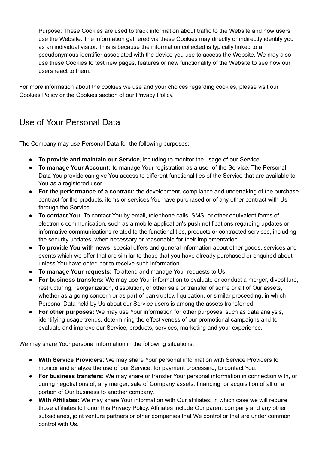Purpose: These Cookies are used to track information about traffic to the Website and how users use the Website. The information gathered via these Cookies may directly or indirectly identify you as an individual visitor. This is because the information collected is typically linked to a pseudonymous identifier associated with the device you use to access the Website. We may also use these Cookies to test new pages, features or new functionality of the Website to see how our users react to them.

For more information about the cookies we use and your choices regarding cookies, please visit our Cookies Policy or the Cookies section of our Privacy Policy.

## Use of Your Personal Data

The Company may use Personal Data for the following purposes:

- **To provide and maintain our Service**, including to monitor the usage of our Service.
- **To manage Your Account:** to manage Your registration as a user of the Service. The Personal Data You provide can give You access to different functionalities of the Service that are available to You as a registered user.
- **For the performance of a contract:** the development, compliance and undertaking of the purchase contract for the products, items or services You have purchased or of any other contract with Us through the Service.
- **To contact You:** To contact You by email, telephone calls, SMS, or other equivalent forms of electronic communication, such as a mobile application's push notifications regarding updates or informative communications related to the functionalities, products or contracted services, including the security updates, when necessary or reasonable for their implementation.
- **To provide You with news**, special offers and general information about other goods, services and events which we offer that are similar to those that you have already purchased or enquired about unless You have opted not to receive such information.
- **To manage Your requests:** To attend and manage Your requests to Us.
- **For business transfers:** We may use Your information to evaluate or conduct a merger, divestiture, restructuring, reorganization, dissolution, or other sale or transfer of some or all of Our assets, whether as a going concern or as part of bankruptcy, liquidation, or similar proceeding, in which Personal Data held by Us about our Service users is among the assets transferred.
- **For other purposes:** We may use Your information for other purposes, such as data analysis, identifying usage trends, determining the effectiveness of our promotional campaigns and to evaluate and improve our Service, products, services, marketing and your experience.

We may share Your personal information in the following situations:

- **With Service Providers**: We may share Your personal information with Service Providers to monitor and analyze the use of our Service, for payment processing, to contact You.
- **For business transfers:** We may share or transfer Your personal information in connection with, or during negotiations of, any merger, sale of Company assets, financing, or acquisition of all or a portion of Our business to another company.
- **With Affiliates:** We may share Your information with Our affiliates, in which case we will require those affiliates to honor this Privacy Policy. Affiliates include Our parent company and any other subsidiaries, joint venture partners or other companies that We control or that are under common control with Us.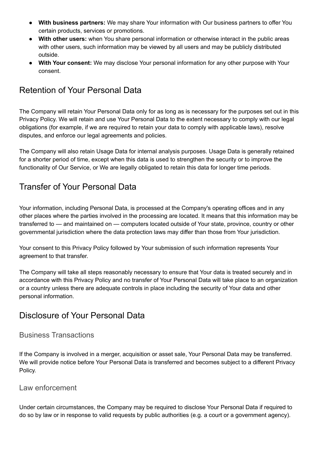- **With business partners:** We may share Your information with Our business partners to offer You certain products, services or promotions.
- **With other users:** when You share personal information or otherwise interact in the public areas with other users, such information may be viewed by all users and may be publicly distributed outside.
- **With Your consent:** We may disclose Your personal information for any other purpose with Your consent.

### Retention of Your Personal Data

The Company will retain Your Personal Data only for as long as is necessary for the purposes set out in this Privacy Policy. We will retain and use Your Personal Data to the extent necessary to comply with our legal obligations (for example, if we are required to retain your data to comply with applicable laws), resolve disputes, and enforce our legal agreements and policies.

The Company will also retain Usage Data for internal analysis purposes. Usage Data is generally retained for a shorter period of time, except when this data is used to strengthen the security or to improve the functionality of Our Service, or We are legally obligated to retain this data for longer time periods.

## Transfer of Your Personal Data

Your information, including Personal Data, is processed at the Company's operating offices and in any other places where the parties involved in the processing are located. It means that this information may be transferred to — and maintained on — computers located outside of Your state, province, country or other governmental jurisdiction where the data protection laws may differ than those from Your jurisdiction.

Your consent to this Privacy Policy followed by Your submission of such information represents Your agreement to that transfer.

The Company will take all steps reasonably necessary to ensure that Your data is treated securely and in accordance with this Privacy Policy and no transfer of Your Personal Data will take place to an organization or a country unless there are adequate controls in place including the security of Your data and other personal information.

## Disclosure of Your Personal Data

### Business Transactions

If the Company is involved in a merger, acquisition or asset sale, Your Personal Data may be transferred. We will provide notice before Your Personal Data is transferred and becomes subject to a different Privacy Policy.

### Law enforcement

Under certain circumstances, the Company may be required to disclose Your Personal Data if required to do so by law or in response to valid requests by public authorities (e.g. a court or a government agency).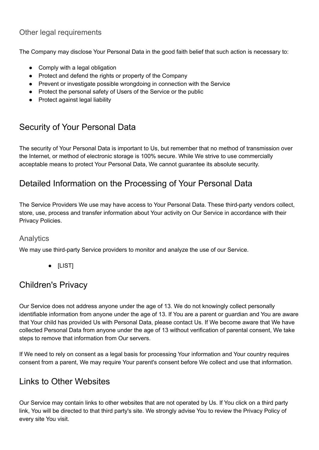### Other legal requirements

The Company may disclose Your Personal Data in the good faith belief that such action is necessary to:

- Comply with a legal obligation
- Protect and defend the rights or property of the Company
- Prevent or investigate possible wrongdoing in connection with the Service
- Protect the personal safety of Users of the Service or the public
- Protect against legal liability

## Security of Your Personal Data

The security of Your Personal Data is important to Us, but remember that no method of transmission over the Internet, or method of electronic storage is 100% secure. While We strive to use commercially acceptable means to protect Your Personal Data, We cannot guarantee its absolute security.

## Detailed Information on the Processing of Your Personal Data

The Service Providers We use may have access to Your Personal Data. These third-party vendors collect, store, use, process and transfer information about Your activity on Our Service in accordance with their Privacy Policies.

### Analytics

We may use third-party Service providers to monitor and analyze the use of our Service.

[LIST]

## Children's Privacy

Our Service does not address anyone under the age of 13. We do not knowingly collect personally identifiable information from anyone under the age of 13. If You are a parent or guardian and You are aware that Your child has provided Us with Personal Data, please contact Us. If We become aware that We have collected Personal Data from anyone under the age of 13 without verification of parental consent, We take steps to remove that information from Our servers.

If We need to rely on consent as a legal basis for processing Your information and Your country requires consent from a parent, We may require Your parent's consent before We collect and use that information.

### Links to Other Websites

Our Service may contain links to other websites that are not operated by Us. If You click on a third party link, You will be directed to that third party's site. We strongly advise You to review the Privacy Policy of every site You visit.